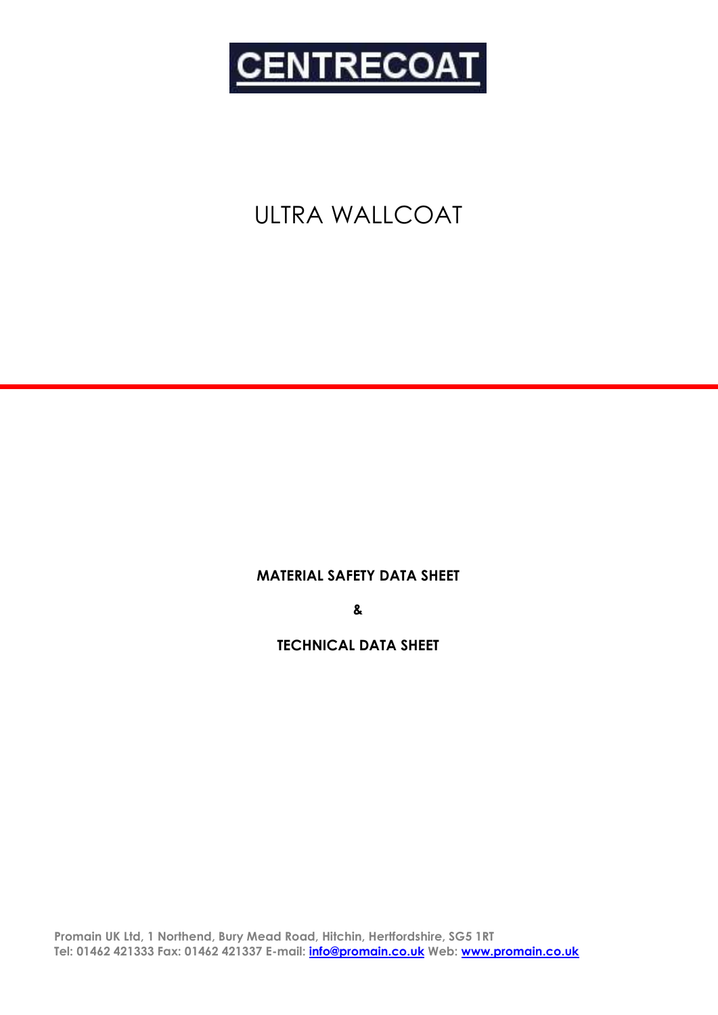

# ULTRA WALLCOAT

**MATERIAL SAFETY DATA SHEET**

**&**

### **TECHNICAL DATA SHEET**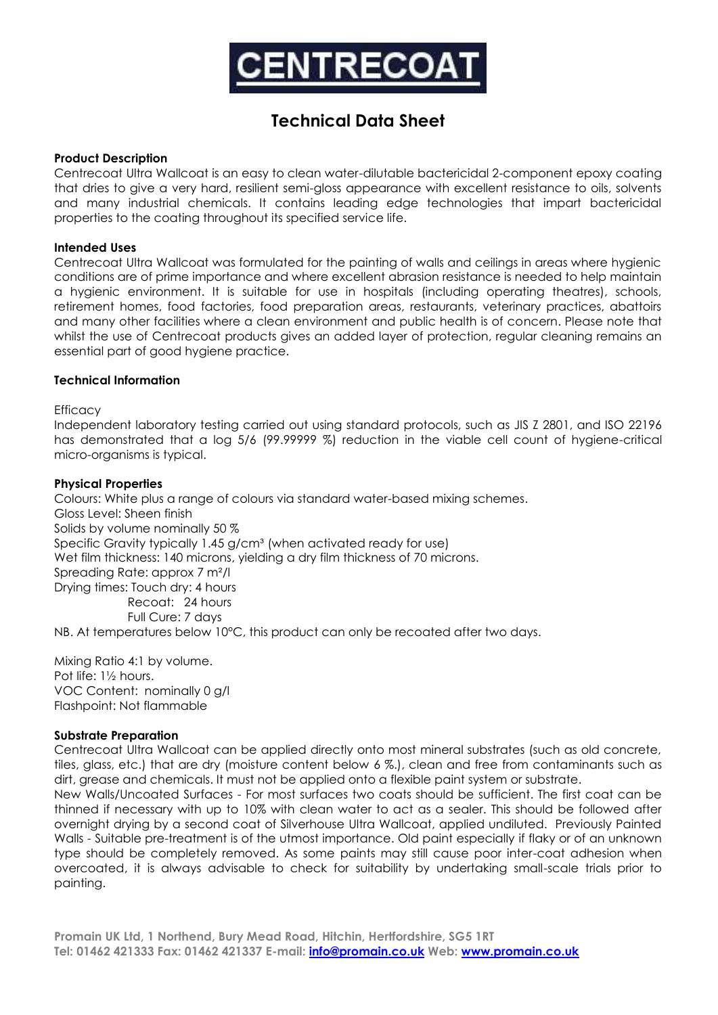

## **Technical Data Sheet**

#### **Product Description**

Centrecoat Ultra Wallcoat is an easy to clean water-dilutable bactericidal 2-component epoxy coating that dries to give a very hard, resilient semi-gloss appearance with excellent resistance to oils, solvents and many industrial chemicals. It contains leading edge technologies that impart bactericidal properties to the coating throughout its specified service life.

#### **Intended Uses**

Centrecoat Ultra Wallcoat was formulated for the painting of walls and ceilings in areas where hygienic conditions are of prime importance and where excellent abrasion resistance is needed to help maintain a hygienic environment. It is suitable for use in hospitals (including operating theatres), schools, retirement homes, food factories, food preparation areas, restaurants, veterinary practices, abattoirs and many other facilities where a clean environment and public health is of concern. Please note that whilst the use of Centrecoat products gives an added layer of protection, regular cleaning remains an essential part of good hygiene practice.

#### **Technical Information**

**Efficacy** 

Independent laboratory testing carried out using standard protocols, such as JIS Z 2801, and ISO 22196 has demonstrated that a log 5/6 (99.99999 %) reduction in the viable cell count of hygiene-critical micro-organisms is typical.

#### **Physical Properties**

Colours: White plus a range of colours via standard water-based mixing schemes. Gloss Level: Sheen finish Solids by volume nominally 50 % Specific Gravity typically 1.45 g/cm<sup>3</sup> (when activated ready for use) Wet film thickness: 140 microns, yielding a dry film thickness of 70 microns. Spreading Rate: approx 7 m²/l Drying times: Touch dry: 4 hours Recoat: 24 hours Full Cure: 7 days NB. At temperatures below 10°C, this product can only be recoated after two days.

Mixing Ratio 4:1 by volume. Pot life: 1½ hours. VOC Content: nominally 0 g/l Flashpoint: Not flammable

#### **Substrate Preparation**

Centrecoat Ultra Wallcoat can be applied directly onto most mineral substrates (such as old concrete, tiles, glass, etc.) that are dry (moisture content below 6 %.), clean and free from contaminants such as dirt, grease and chemicals. It must not be applied onto a flexible paint system or substrate.

New Walls/Uncoated Surfaces - For most surfaces two coats should be sufficient. The first coat can be thinned if necessary with up to 10% with clean water to act as a sealer. This should be followed after overnight drying by a second coat of Silverhouse Ultra Wallcoat, applied undiluted. Previously Painted Walls - Suitable pre-treatment is of the utmost importance. Old paint especially if flaky or of an unknown type should be completely removed. As some paints may still cause poor inter-coat adhesion when overcoated, it is always advisable to check for suitability by undertaking small-scale trials prior to painting.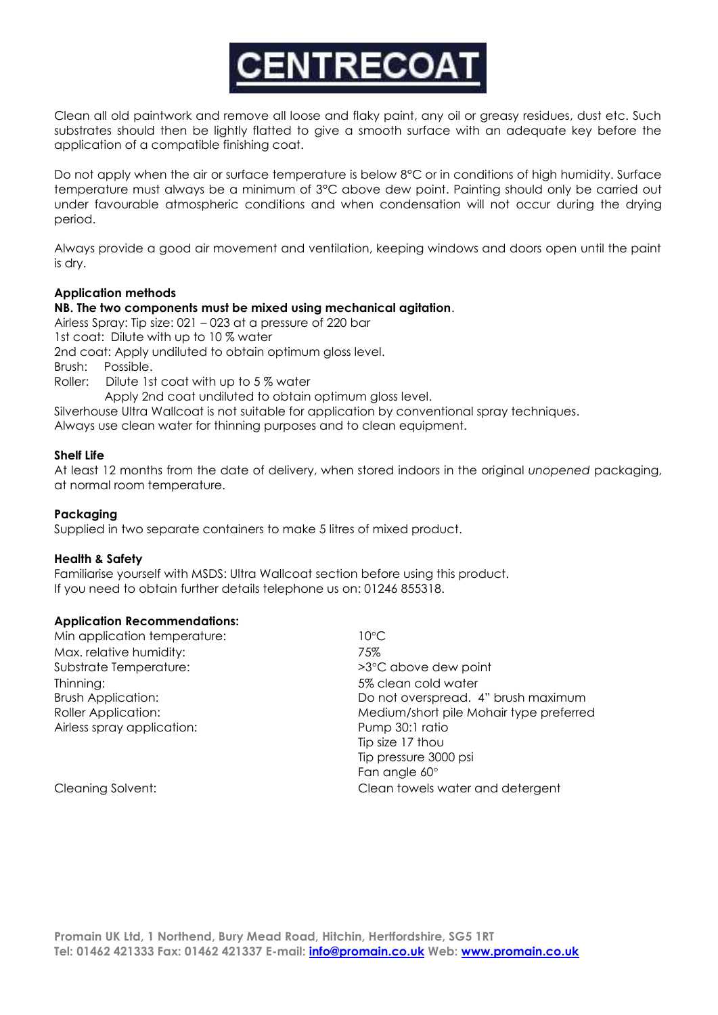

Clean all old paintwork and remove all loose and flaky paint, any oil or greasy residues, dust etc. Such substrates should then be lightly flatted to give a smooth surface with an adequate key before the application of a compatible finishing coat.

Do not apply when the air or surface temperature is below 8°C or in conditions of high humidity. Surface temperature must always be a minimum of 3°C above dew point. Painting should only be carried out under favourable atmospheric conditions and when condensation will not occur during the drying period.

Always provide a good air movement and ventilation, keeping windows and doors open until the paint is dry.

#### **Application methods**

#### **NB. The two components must be mixed using mechanical agitation**.

Airless Spray: Tip size: 021 – 023 at a pressure of 220 bar

1st coat: Dilute with up to 10 % water

2nd coat: Apply undiluted to obtain optimum gloss level.

Brush: Possible.

Roller: Dilute 1st coat with up to 5 % water

Apply 2nd coat undiluted to obtain optimum gloss level.

Silverhouse Ultra Wallcoat is not suitable for application by conventional spray techniques.

Always use clean water for thinning purposes and to clean equipment.

#### **Shelf Life**

At least 12 months from the date of delivery, when stored indoors in the original *unopened* packaging, at normal room temperature.

#### **Packaging**

Supplied in two separate containers to make 5 litres of mixed product.

#### **Health & Safety**

Familiarise yourself with MSDS: Ultra Wallcoat section before using this product. If you need to obtain further details telephone us on: 01246 855318.

#### **Application Recommendations:**

Min application temperature: 10°C Max. relative humidity:  $75\%$ Substrate Temperature:  $>3^{\circ}$ C above dew point Thinning: 5% clean cold water Airless spray application: Pump 30:1 ratio

Brush Application: Do not overspread. 4" brush maximum Roller Application: Medium/short pile Mohair type preferred Tip size 17 thou Tip pressure 3000 psi Fan anale 60° Cleaning Solvent: Clean towels water and detergent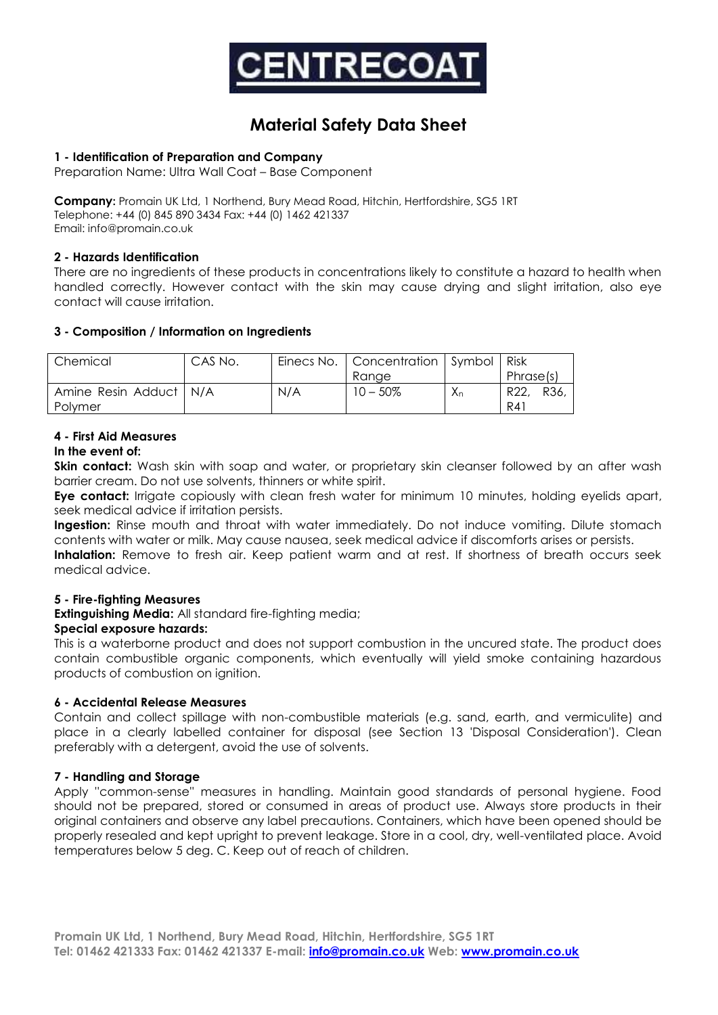

### **Material Safety Data Sheet**

#### **1 - Identification of Preparation and Company**

Preparation Name: Ultra Wall Coat – Base Component

**Company:** Promain UK Ltd, 1 Northend, Bury Mead Road, Hitchin, Hertfordshire, SG5 1RT Telephone: +44 (0) 845 890 3434 Fax: +44 (0) 1462 421337 Email: info@promain.co.uk

#### **2 - Hazards Identification**

There are no ingredients of these products in concentrations likely to constitute a hazard to health when handled correctly. However contact with the skin may cause drying and slight irritation, also eye contact will cause irritation.

#### **3 - Composition / Information on Ingredients**

| Chemical                 | CAS No. |     | Einecs No.   Concentration   Symbol   Risk |       |              |
|--------------------------|---------|-----|--------------------------------------------|-------|--------------|
|                          |         |     | Ranae                                      |       | Phrase(s)    |
| Amine Resin Adduct   N/A |         | N/A | $10 - 50\%$                                | $X_n$ | R22.<br>R36. |
| Polymer                  |         |     |                                            |       | R41          |

#### **4 - First Aid Measures**

#### **In the event of:**

**Skin contact:** Wash skin with soap and water, or proprietary skin cleanser followed by an after wash barrier cream. Do not use solvents, thinners or white spirit.

**Eye contact:** Irrigate copiously with clean fresh water for minimum 10 minutes, holding eyelids apart, seek medical advice if irritation persists.

Ingestion: Rinse mouth and throat with water immediately. Do not induce vomiting. Dilute stomach contents with water or milk. May cause nausea, seek medical advice if discomforts arises or persists.

**Inhalation:** Remove to fresh air. Keep patient warm and at rest. If shortness of breath occurs seek medical advice.

#### **5 - Fire-fighting Measures**

**Extinguishing Media:** All standard fire-fighting media;

#### **Special exposure hazards:**

This is a waterborne product and does not support combustion in the uncured state. The product does contain combustible organic components, which eventually will yield smoke containing hazardous products of combustion on ignition.

#### **6 - Accidental Release Measures**

Contain and collect spillage with non-combustible materials (e.g. sand, earth, and vermiculite) and place in a clearly labelled container for disposal (see Section 13 'Disposal Consideration'). Clean preferably with a detergent, avoid the use of solvents.

#### **7 - Handling and Storage**

Apply ''common-sense'' measures in handling. Maintain good standards of personal hygiene. Food should not be prepared, stored or consumed in areas of product use. Always store products in their original containers and observe any label precautions. Containers, which have been opened should be properly resealed and kept upright to prevent leakage. Store in a cool, dry, well-ventilated place. Avoid temperatures below 5 deg. C. Keep out of reach of children.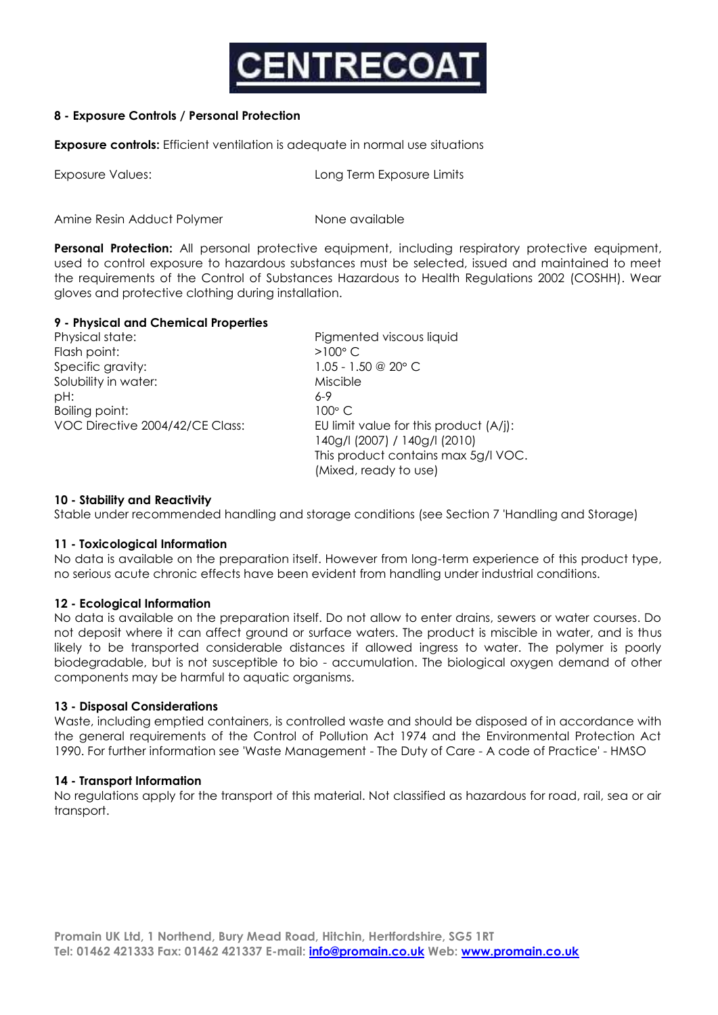

#### **8 - Exposure Controls / Personal Protection**

**Exposure controls:** Efficient ventilation is adequate in normal use situations

| Exposure Values: | Long Term Exposure Limits |  |  |
|------------------|---------------------------|--|--|
|                  |                           |  |  |

Amine Resin Adduct Polymer None available

**Personal Protection:** All personal protective equipment, including respiratory protective equipment, used to control exposure to hazardous substances must be selected, issued and maintained to meet the requirements of the Control of Substances Hazardous to Health Regulations 2002 (COSHH). Wear gloves and protective clothing during installation.

#### **9 - Physical and Chemical Properties**

Physical state: Pigmented viscous liquid Flash point:  $>100^{\circ}$  C Specific gravity: 1.05 - 1.50 @ 20° C Solubility in water: Miscible pH: 6-9 Boiling point: 100° C

VOC Directive 2004/42/CE Class: EU limit value for this product (A/j): 140g/l (2007) / 140g/l (2010) This product contains max 5g/l VOC. (Mixed, ready to use)

#### **10 - Stability and Reactivity**

Stable under recommended handling and storage conditions (see Section 7 'Handling and Storage)

#### **11 - Toxicological Information**

No data is available on the preparation itself. However from long-term experience of this product type, no serious acute chronic effects have been evident from handling under industrial conditions.

#### **12 - Ecological Information**

No data is available on the preparation itself. Do not allow to enter drains, sewers or water courses. Do not deposit where it can affect ground or surface waters. The product is miscible in water, and is thus likely to be transported considerable distances if allowed ingress to water. The polymer is poorly biodegradable, but is not susceptible to bio - accumulation. The biological oxygen demand of other components may be harmful to aquatic organisms.

#### **13 - Disposal Considerations**

Waste, including emptied containers, is controlled waste and should be disposed of in accordance with the general requirements of the Control of Pollution Act 1974 and the Environmental Protection Act 1990. For further information see 'Waste Management - The Duty of Care - A code of Practice' - HMSO

#### **14 - Transport Information**

No regulations apply for the transport of this material. Not classified as hazardous for road, rail, sea or air transport.